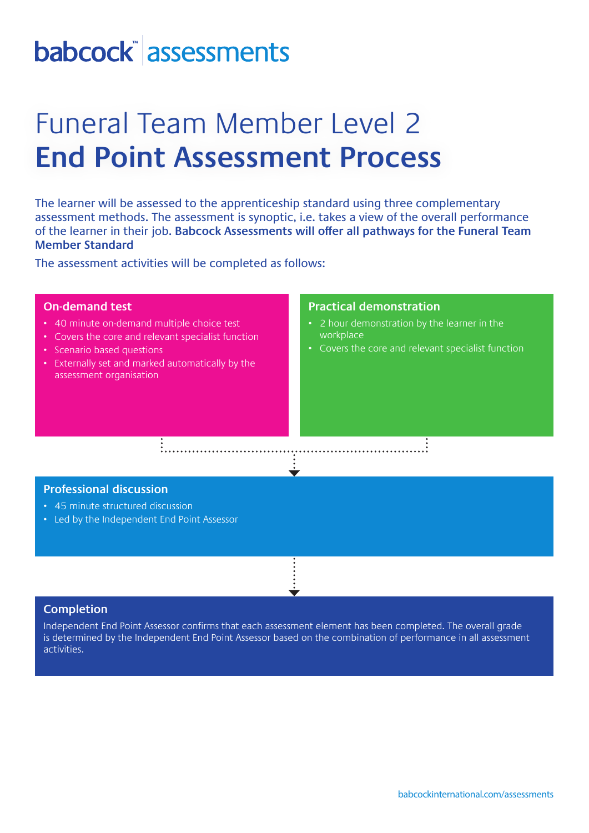# babcock assessments

## Funeral Team Member Level 2 **End Point Assessment Process**

The learner will be assessed to the apprenticeship standard using three complementary assessment methods. The assessment is synoptic, i.e. takes a view of the overall performance of the learner in their job. **Babcock Assessments will offer all pathways for the Funeral Team Member Standard**

The assessment activities will be completed as follows:

### **On-demand test**

- 40 minute on-demand multiple choice test
- Covers the core and relevant specialist function
- Scenario based questions
- Externally set and marked automatically by the assessment organisation

#### **Practical demonstration**

- 2 hour demonstration by the learner in the workplace
- Covers the core and relevant specialist function

#### **Professional discussion**

- 45 minute structured discussion
- Led by the Independent End Point Assessor

#### **Completion**

Independent End Point Assessor confirms that each assessment element has been completed. The overall grade is determined by the Independent End Point Assessor based on the combination of performance in all assessment activities.